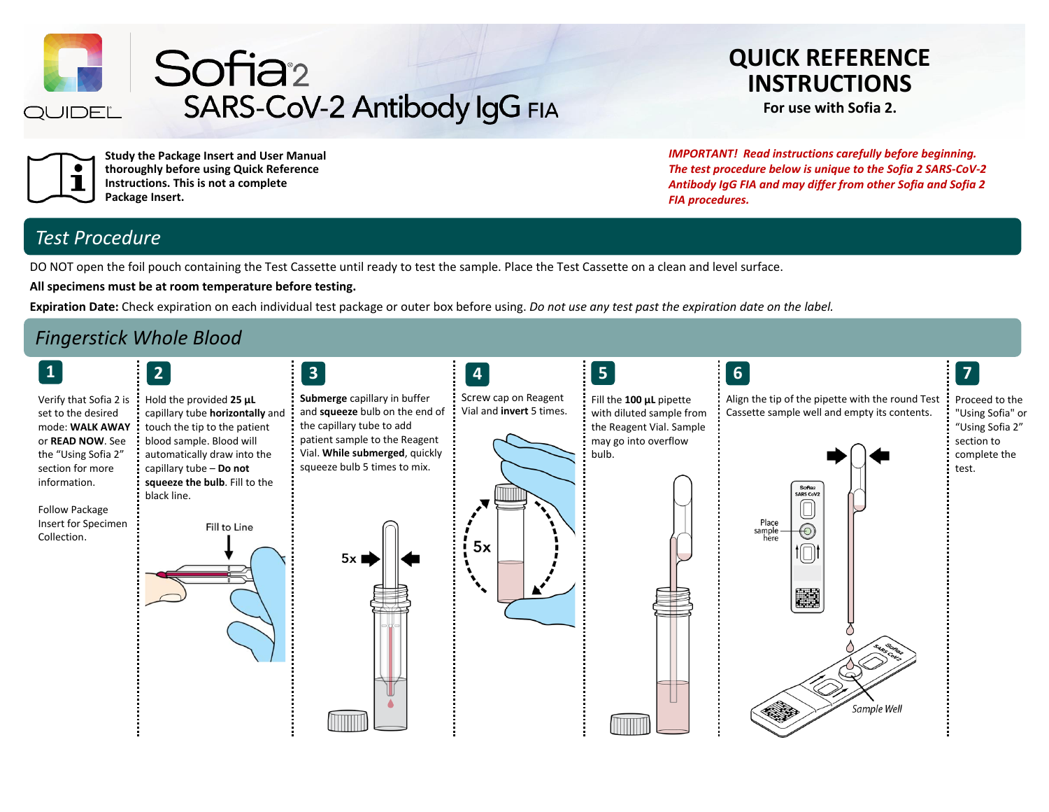

Sofia<sup>2</sup> SARS-CoV-2 Antibody IgG FIA

# **QUICK REFERENCE INSTRUCTIONS**

**For use with Sofia 2.**



**Study the Package Insert and User Manual thoroughly before using Quick Reference Instructions. This is not a complete Package Insert.**

*IMPORTANT! Read instructions carefully before beginning. The test procedure below is unique to the Sofia 2 SARS-CoV-2 Antibody IgG FIA and may differ from other Sofia and Sofia 2 FIA procedures.*

## *Test Procedure*

DO NOT open the foil pouch containing the Test Cassette until ready to test the sample. Place the Test Cassette on a clean and level surface.

**All specimens must be at room temperature before testing.**

**Expiration Date:** Check expiration on each individual test package or outer box before using. *Do not use any test past the expiration date on the label.*

## *Fingerstick Whole Blood*

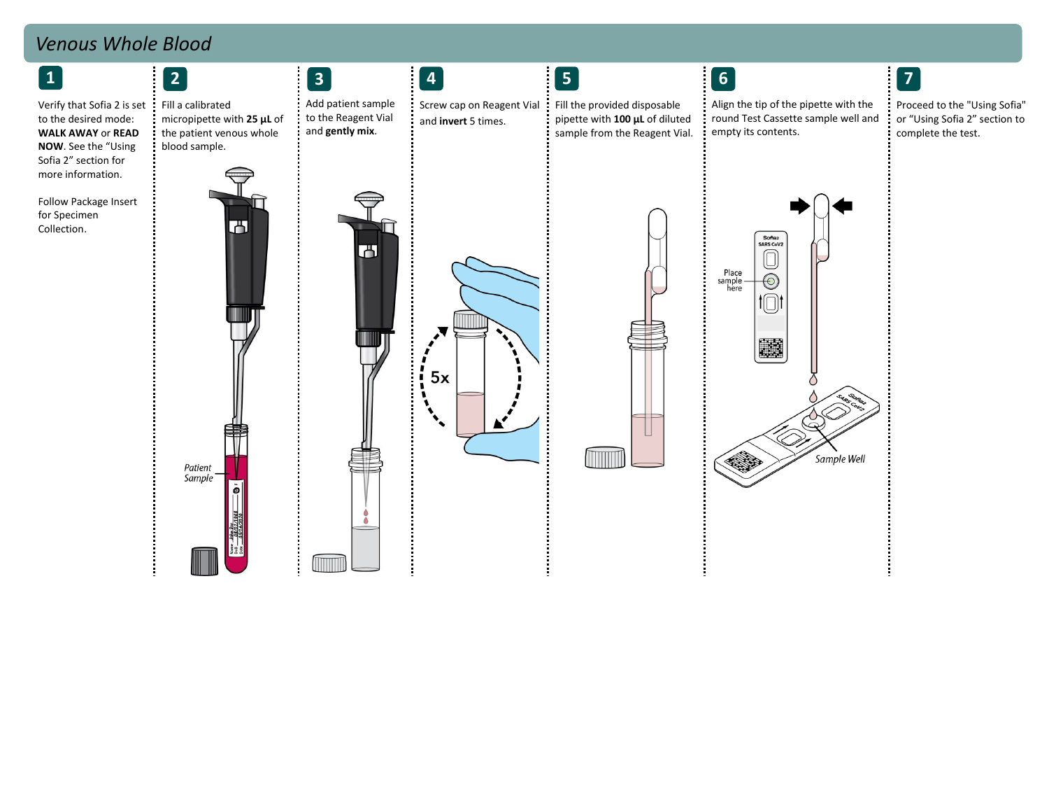## *Venous Whole Blood*

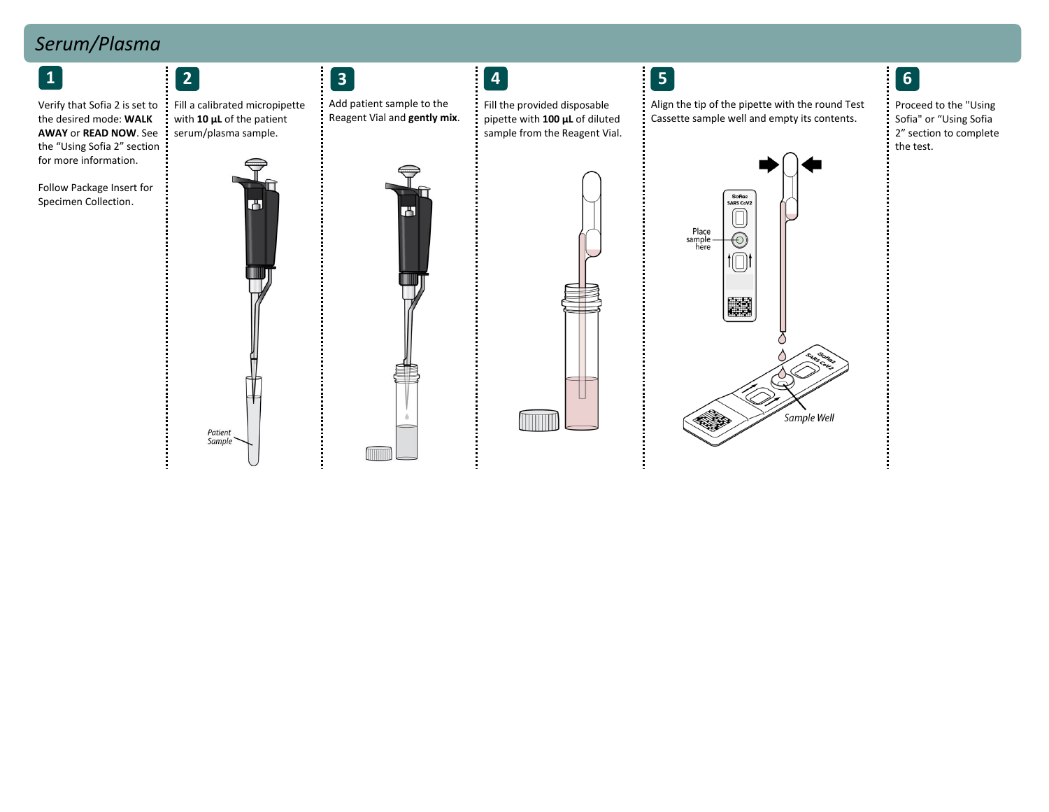# *Serum/Plasma*

Verify that Sofia 2 is set to the desired mode: **WALK AWAY** or **READ NOW**. See the "Using Sofia 2" section for more information.

Follow Package Insert for Specimen Collection.





Add patient sample to the Reagent Vial and **gently mix**.

म



Fill the provided disposable pipette with **100 μL** of diluted sample from the Reagent Vial.



İ

Align the tip of the pipette with the round Test Cassette sample well and empty its contents.

Proceed to the "Using Sofia" or "Using Sofia 2" section to complete the test.

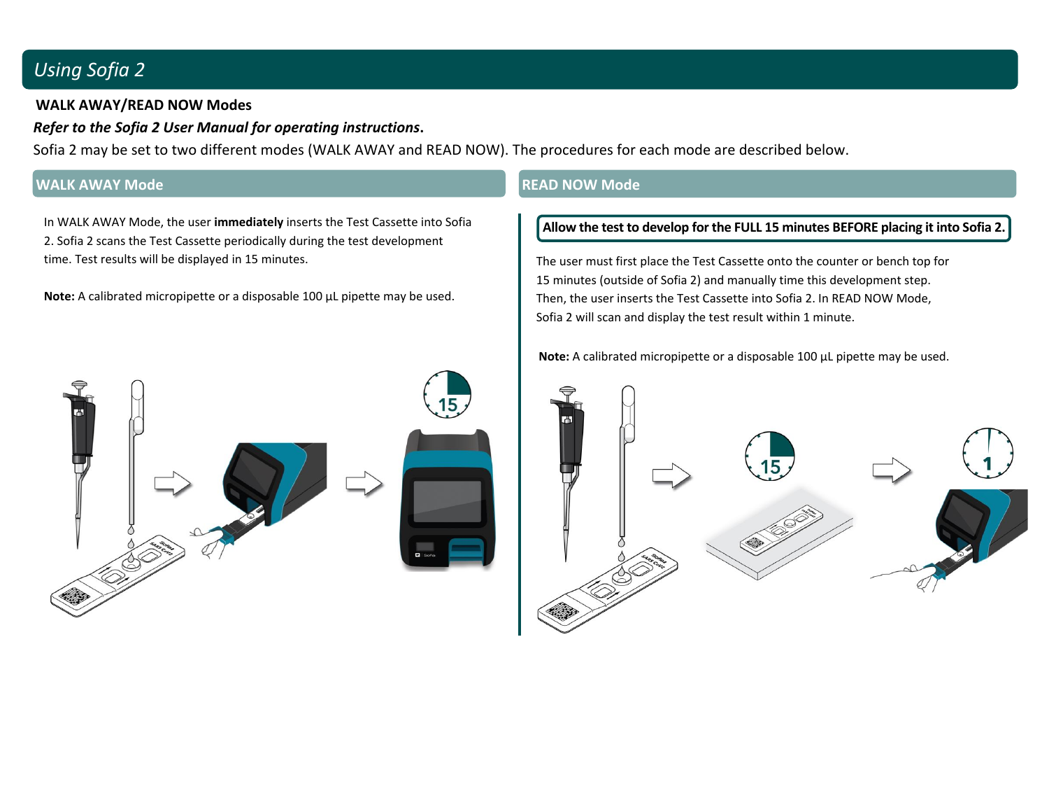## *Using Sofia 2*

### **WALK AWAY/READ NOW Modes**

### *Refer to the Sofia 2 User Manual for operating instructions***.**

Sofia 2 may be set to two different modes (WALK AWAY and READ NOW). The procedures for each mode are described below.

### **WALK AWAY Mode READ NOW Mode**

In WALK AWAY Mode, the user **immediately** inserts the Test Cassette into Sofia 2. Sofia 2 scans the Test Cassette periodically during the test development time. Test results will be displayed in 15 minutes.

**Note:** A calibrated micropipette or a disposable 100 μL pipette may be used.

#### **Allow the test to develop for the FULL 15 minutes BEFORE placing it into Sofia 2.**

The user must first place the Test Cassette onto the counter or bench top for 15 minutes (outside of Sofia 2) and manually time this development step. Then, the user inserts the Test Cassette into Sofia 2. In READ NOW Mode, Sofia 2 will scan and display the test result within 1 minute.

**Note:** A calibrated micropipette or a disposable 100 μL pipette may be used.



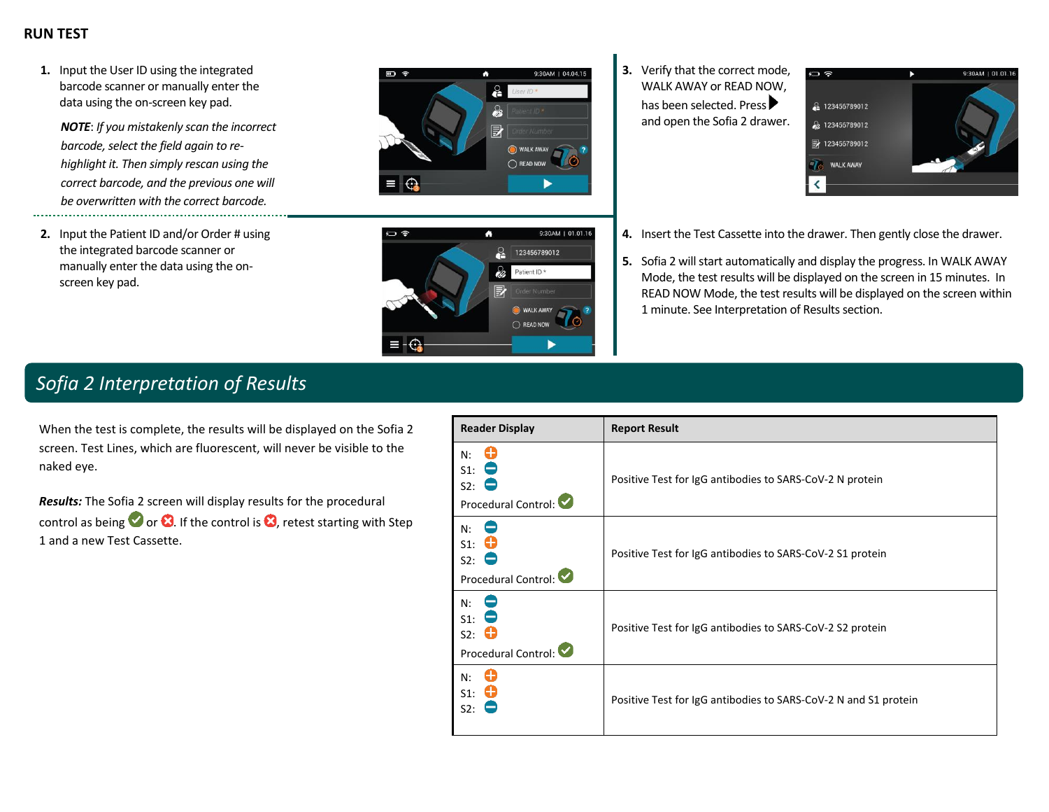### **RUN TEST**

**1.** Input the User ID using the integrated barcode scanner or manually enter the data using the on-screen key pad.

*NOTE*: *If you mistakenly scan the incorrect barcode, select the field again to rehighlight it. Then simply rescan using the correct barcode, and the previous one will be overwritten with the correct barcode.*

**2.** Input the Patient ID and/or Order # using the integrated barcode scanner or manually enter the data using the onscreen key pad.





**3.** Verify that the correct mode, WALK AWAY or READ NOW, has been selected. Press and open the Sofia 2 drawer.



- **4.** Insert the Test Cassette into the drawer. Then gently close the drawer.
- **5.** Sofia 2 will start automatically and display the progress. In WALK AWAY Mode, the test results will be displayed on the screen in 15 minutes. In READ NOW Mode, the test results will be displayed on the screen within 1 minute. See Interpretation of Results section.

## *Sofia 2 Interpretation of Results*

When the test is complete, the results will be displayed on the Sofia 2 screen. Test Lines, which are fluorescent, will never be visible to the naked eye.

*Results:* The Sofia 2 screen will display results for the procedural control as being  $\bullet$  or  $\bullet$ . If the control is  $\bullet$ , retest starting with Step 1 and a new Test Cassette.

| <b>Reader Display</b>                           | <b>Report Result</b>                                            |
|-------------------------------------------------|-----------------------------------------------------------------|
| N:<br>$S1$ :<br>S2:<br>Procedural Control:      | Positive Test for IgG antibodies to SARS-CoV-2 N protein        |
| N:<br>$S1$ :<br>S2:<br>Procedural Control:      | Positive Test for IgG antibodies to SARS-CoV-2 S1 protein       |
| N:<br>$S1$ :<br>S2:<br>œ<br>Procedural Control: | Positive Test for IgG antibodies to SARS-CoV-2 S2 protein       |
| 63<br>N:<br>O<br>$S1$ :<br>S2:                  | Positive Test for IgG antibodies to SARS-CoV-2 N and S1 protein |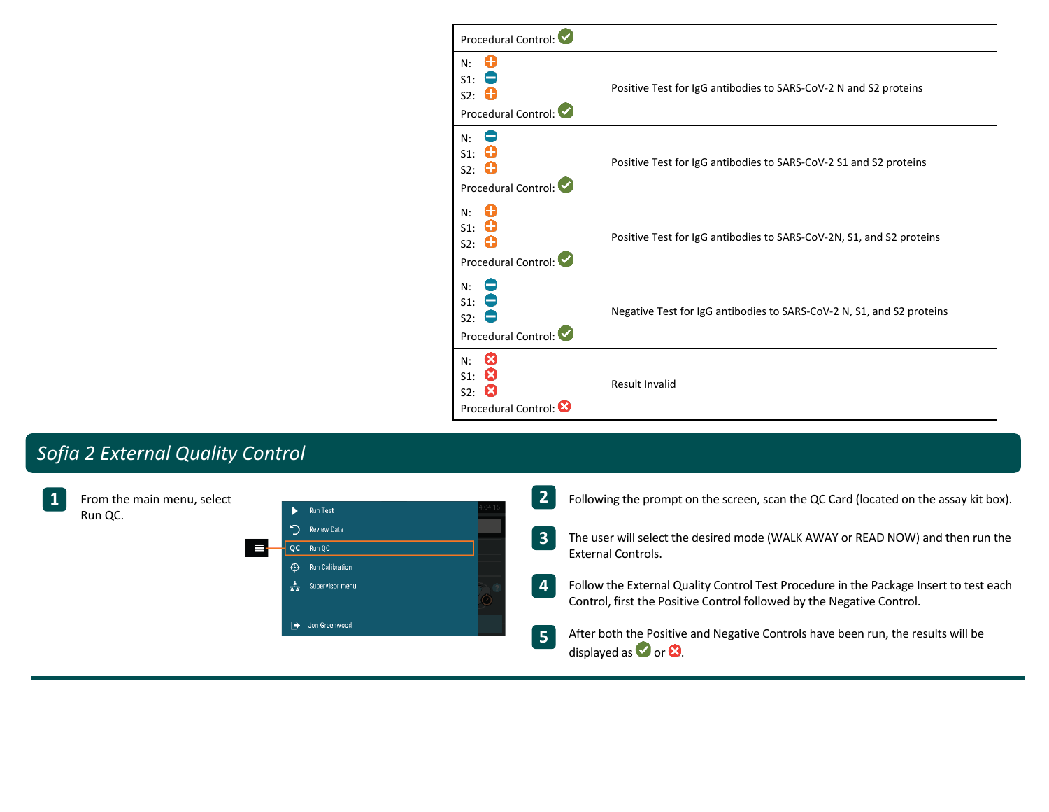| Procedural Control:                                               |                                                                       |
|-------------------------------------------------------------------|-----------------------------------------------------------------------|
| 63<br>N:<br>$S1$ :<br>$S2:$ $\bullet$<br>Procedural Control:      | Positive Test for IgG antibodies to SARS-CoV-2 N and S2 proteins      |
| N:<br>$S_1$ : 0<br>$S2:$ $\bullet$<br>Procedural Control:         | Positive Test for IgG antibodies to SARS-CoV-2 S1 and S2 proteins     |
| N:<br>$S_1$ : $\bullet$<br>$S2:$ $\bullet$<br>Procedural Control: | Positive Test for IgG antibodies to SARS-CoV-2N, S1, and S2 proteins  |
| N:<br>$S1$ :<br>S2:<br>Procedural Control:                        | Negative Test for IgG antibodies to SARS-CoV-2 N, S1, and S2 proteins |
| œ<br>N:<br>S1: 8<br>S2.83<br>Procedural Control:                  | <b>Result Invalid</b>                                                 |

# *Sofia 2 External Quality Control*